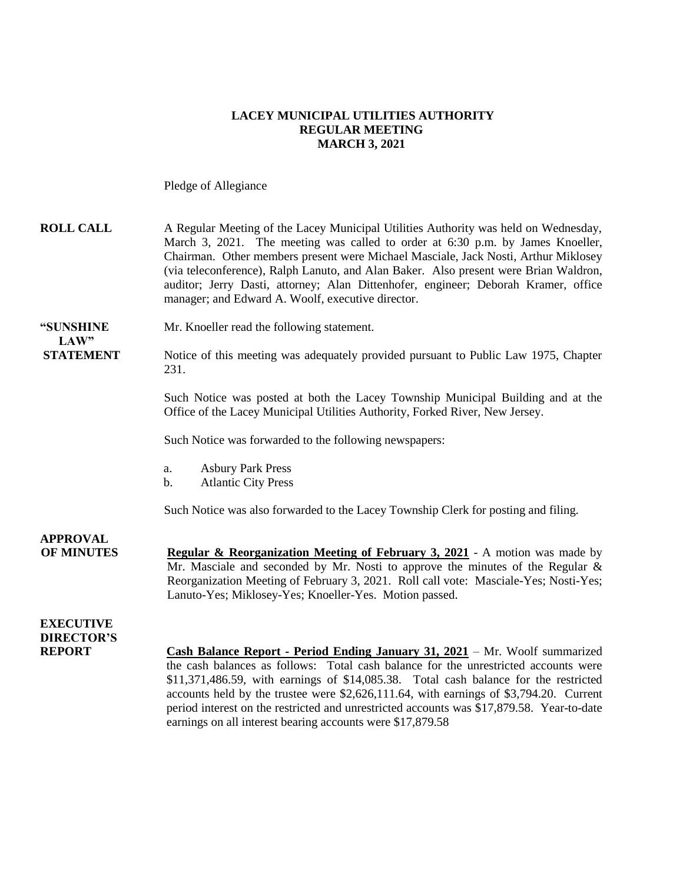# **LACEY MUNICIPAL UTILITIES AUTHORITY REGULAR MEETING MARCH 3, 2021**

Pledge of Allegiance

| <b>ROLL CALL</b>                                       | A Regular Meeting of the Lacey Municipal Utilities Authority was held on Wednesday,<br>March 3, 2021. The meeting was called to order at 6:30 p.m. by James Knoeller,<br>Chairman. Other members present were Michael Masciale, Jack Nosti, Arthur Miklosey<br>(via teleconference), Ralph Lanuto, and Alan Baker. Also present were Brian Waldron,<br>auditor; Jerry Dasti, attorney; Alan Dittenhofer, engineer; Deborah Kramer, office<br>manager; and Edward A. Woolf, executive director.                             |
|--------------------------------------------------------|----------------------------------------------------------------------------------------------------------------------------------------------------------------------------------------------------------------------------------------------------------------------------------------------------------------------------------------------------------------------------------------------------------------------------------------------------------------------------------------------------------------------------|
| "SUNSHINE<br>LAW"                                      | Mr. Knoeller read the following statement.                                                                                                                                                                                                                                                                                                                                                                                                                                                                                 |
| <b>STATEMENT</b>                                       | Notice of this meeting was adequately provided pursuant to Public Law 1975, Chapter<br>231.                                                                                                                                                                                                                                                                                                                                                                                                                                |
|                                                        | Such Notice was posted at both the Lacey Township Municipal Building and at the<br>Office of the Lacey Municipal Utilities Authority, Forked River, New Jersey.                                                                                                                                                                                                                                                                                                                                                            |
|                                                        | Such Notice was forwarded to the following newspapers:                                                                                                                                                                                                                                                                                                                                                                                                                                                                     |
|                                                        | <b>Asbury Park Press</b><br>a.<br><b>Atlantic City Press</b><br>$\mathbf b$ .                                                                                                                                                                                                                                                                                                                                                                                                                                              |
|                                                        | Such Notice was also forwarded to the Lacey Township Clerk for posting and filing.                                                                                                                                                                                                                                                                                                                                                                                                                                         |
| <b>APPROVAL</b><br><b>OF MINUTES</b>                   | <b>Regular &amp; Reorganization Meeting of February 3, 2021</b> - A motion was made by<br>Mr. Masciale and seconded by Mr. Nosti to approve the minutes of the Regular &<br>Reorganization Meeting of February 3, 2021. Roll call vote: Masciale-Yes; Nosti-Yes;<br>Lanuto-Yes; Miklosey-Yes; Knoeller-Yes. Motion passed.                                                                                                                                                                                                 |
| <b>EXECUTIVE</b><br><b>DIRECTOR'S</b><br><b>REPORT</b> | <b>Cash Balance Report - Period Ending January 31, 2021</b> – Mr. Woolf summarized<br>the cash balances as follows: Total cash balance for the unrestricted accounts were<br>$$11,371,486.59$ , with earnings of $$14,085.38$ . Total cash balance for the restricted<br>accounts held by the trustee were \$2,626,111.64, with earnings of \$3,794.20. Current<br>period interest on the restricted and unrestricted accounts was \$17,879.58. Year-to-date<br>earnings on all interest bearing accounts were \$17,879.58 |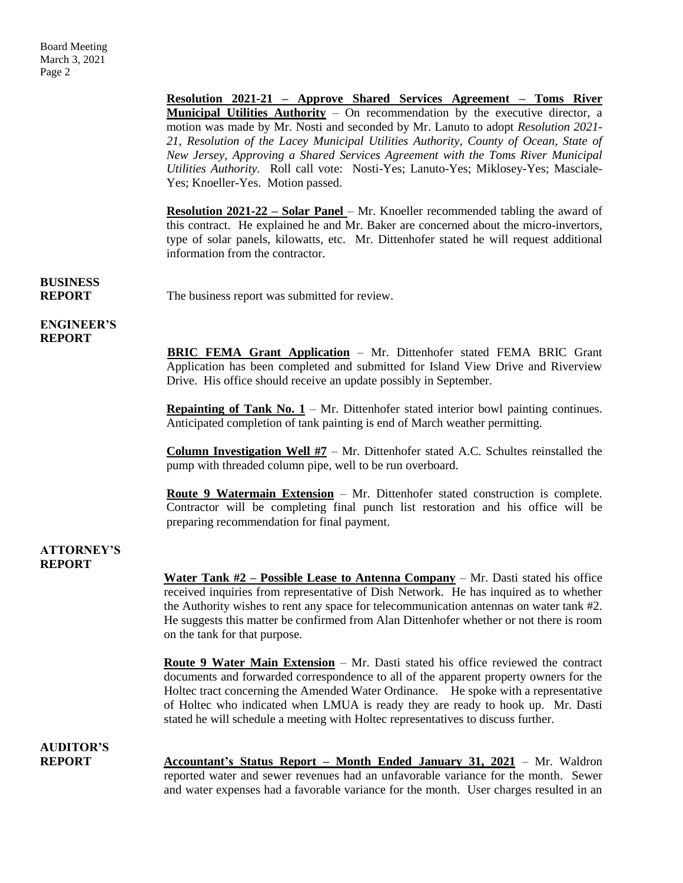**Resolution 2021-21 – Approve Shared Services Agreement – Toms River Municipal Utilities Authority** – On recommendation by the executive director, a motion was made by Mr. Nosti and seconded by Mr. Lanuto to adopt *Resolution 2021- 21, Resolution of the Lacey Municipal Utilities Authority, County of Ocean, State of New Jersey, Approving a Shared Services Agreement with the Toms River Municipal Utilities Authority.* Roll call vote: Nosti-Yes; Lanuto-Yes; Miklosey-Yes; Masciale-Yes; Knoeller-Yes. Motion passed.

**Resolution 2021-22 – Solar Panel –** Mr. Knoeller recommended tabling the award of this contract. He explained he and Mr. Baker are concerned about the micro-invertors, type of solar panels, kilowatts, etc. Mr. Dittenhofer stated he will request additional information from the contractor.

**BUSINESS**

**REPORT** The business report was submitted for review.

### **ENGINEER'S REPORT**

**BRIC FEMA Grant Application** – Mr. Dittenhofer stated FEMA BRIC Grant Application has been completed and submitted for Island View Drive and Riverview Drive. His office should receive an update possibly in September.

**Repainting of Tank No. 1** – Mr. Dittenhofer stated interior bowl painting continues. Anticipated completion of tank painting is end of March weather permitting.

**Column Investigation Well #7** – Mr. Dittenhofer stated A.C. Schultes reinstalled the pump with threaded column pipe, well to be run overboard.

**Route 9 Watermain Extension** – Mr. Dittenhofer stated construction is complete. Contractor will be completing final punch list restoration and his office will be preparing recommendation for final payment.

#### **ATTORNEY'S REPORT**

**Water Tank #2 – Possible Lease to Antenna Company** – Mr. Dasti stated his office received inquiries from representative of Dish Network. He has inquired as to whether the Authority wishes to rent any space for telecommunication antennas on water tank #2. He suggests this matter be confirmed from Alan Dittenhofer whether or not there is room on the tank for that purpose.

**Route 9 Water Main Extension** – Mr. Dasti stated his office reviewed the contract documents and forwarded correspondence to all of the apparent property owners for the Holtec tract concerning the Amended Water Ordinance. He spoke with a representative of Holtec who indicated when LMUA is ready they are ready to hook up. Mr. Dasti stated he will schedule a meeting with Holtec representatives to discuss further.

# **AUDITOR'S**

**REPORT Accountant's Status Report – Month Ended January 31, 2021** – Mr. Waldron reported water and sewer revenues had an unfavorable variance for the month. Sewer and water expenses had a favorable variance for the month. User charges resulted in an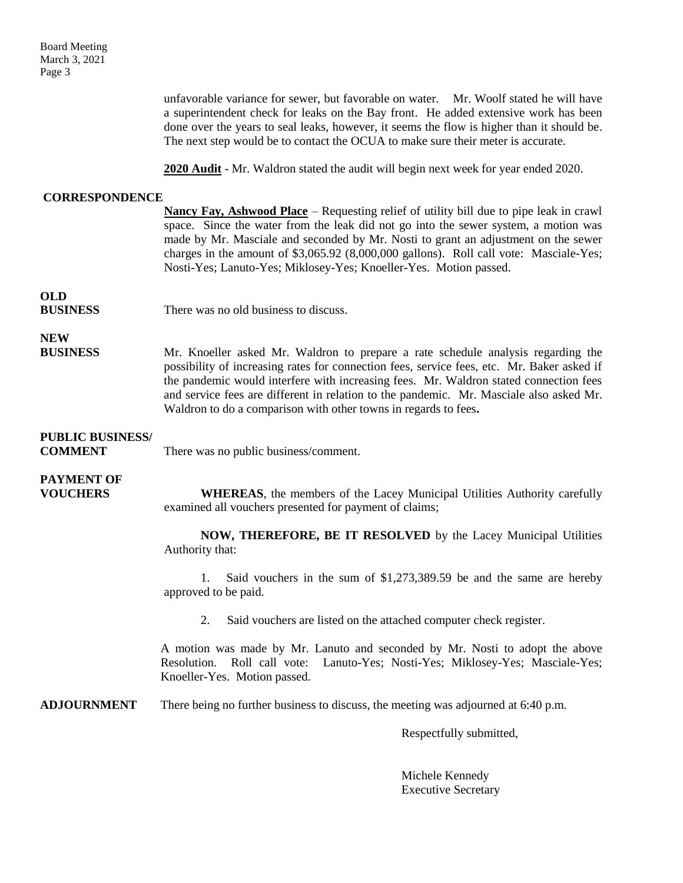Board Meeting March 3, 2021 Page 3

> unfavorable variance for sewer, but favorable on water. Mr. Woolf stated he will have a superintendent check for leaks on the Bay front. He added extensive work has been done over the years to seal leaks, however, it seems the flow is higher than it should be. The next step would be to contact the OCUA to make sure their meter is accurate.

**2020 Audit** - Mr. Waldron stated the audit will begin next week for year ended 2020.

## **CORRESPONDENCE**

| COMAL'OI ORDERCE                          |                                                                                                                                                                                                                                                                                                                                                                                                                                       |
|-------------------------------------------|---------------------------------------------------------------------------------------------------------------------------------------------------------------------------------------------------------------------------------------------------------------------------------------------------------------------------------------------------------------------------------------------------------------------------------------|
|                                           | Nancy Fay, Ashwood Place – Requesting relief of utility bill due to pipe leak in crawl<br>space. Since the water from the leak did not go into the sewer system, a motion was<br>made by Mr. Masciale and seconded by Mr. Nosti to grant an adjustment on the sewer<br>charges in the amount of \$3,065.92 (8,000,000 gallons). Roll call vote: Masciale-Yes;<br>Nosti-Yes; Lanuto-Yes; Miklosey-Yes; Knoeller-Yes. Motion passed.    |
| <b>OLD</b><br><b>BUSINESS</b>             | There was no old business to discuss.                                                                                                                                                                                                                                                                                                                                                                                                 |
| <b>NEW</b><br><b>BUSINESS</b>             | Mr. Knoeller asked Mr. Waldron to prepare a rate schedule analysis regarding the<br>possibility of increasing rates for connection fees, service fees, etc. Mr. Baker asked if<br>the pandemic would interfere with increasing fees. Mr. Waldron stated connection fees<br>and service fees are different in relation to the pandemic. Mr. Masciale also asked Mr.<br>Waldron to do a comparison with other towns in regards to fees. |
| <b>PUBLIC BUSINESS/</b><br><b>COMMENT</b> | There was no public business/comment.                                                                                                                                                                                                                                                                                                                                                                                                 |
| <b>PAYMENT OF</b><br><b>VOUCHERS</b>      | <b>WHEREAS</b> , the members of the Lacey Municipal Utilities Authority carefully<br>examined all vouchers presented for payment of claims;                                                                                                                                                                                                                                                                                           |
|                                           | NOW, THEREFORE, BE IT RESOLVED by the Lacey Municipal Utilities<br>Authority that:                                                                                                                                                                                                                                                                                                                                                    |
|                                           | Said vouchers in the sum of \$1,273,389.59 be and the same are hereby<br>$\mathbf{1}_{\cdot}$<br>approved to be paid.                                                                                                                                                                                                                                                                                                                 |
|                                           | 2.<br>Said vouchers are listed on the attached computer check register.                                                                                                                                                                                                                                                                                                                                                               |
|                                           | A motion was made by Mr. Lanuto and seconded by Mr. Nosti to adopt the above<br>Roll call vote: Lanuto-Yes; Nosti-Yes; Miklosey-Yes; Masciale-Yes;<br>Resolution.<br>Knoeller-Yes. Motion passed.                                                                                                                                                                                                                                     |
| <b>ADJOURNMENT</b>                        | There being no further business to discuss, the meeting was adjourned at 6:40 p.m.                                                                                                                                                                                                                                                                                                                                                    |

Respectfully submitted,

Michele Kennedy Executive Secretary